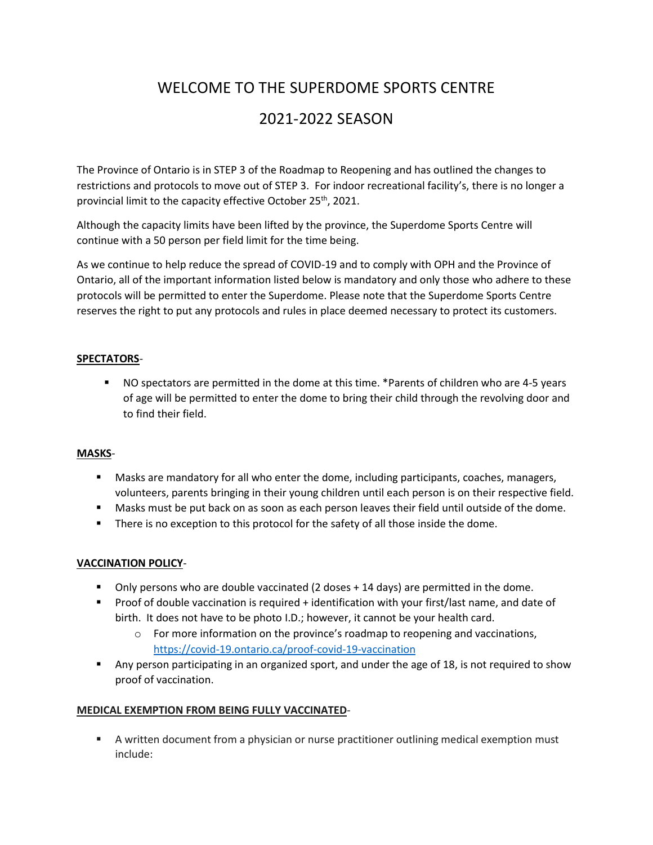# WELCOME TO THE SUPERDOME SPORTS CENTRE

# 2021-2022 SEASON

The Province of Ontario is in STEP 3 of the Roadmap to Reopening and has outlined the changes to restrictions and protocols to move out of STEP 3. For indoor recreational facility's, there is no longer a provincial limit to the capacity effective October 25th, 2021.

Although the capacity limits have been lifted by the province, the Superdome Sports Centre will continue with a 50 person per field limit for the time being.

As we continue to help reduce the spread of COVID-19 and to comply with OPH and the Province of Ontario, all of the important information listed below is mandatory and only those who adhere to these protocols will be permitted to enter the Superdome. Please note that the Superdome Sports Centre reserves the right to put any protocols and rules in place deemed necessary to protect its customers.

#### **SPECTATORS**-

▪ NO spectators are permitted in the dome at this time. \*Parents of children who are 4-5 years of age will be permitted to enter the dome to bring their child through the revolving door and to find their field.

#### **MASKS**-

- Masks are mandatory for all who enter the dome, including participants, coaches, managers, volunteers, parents bringing in their young children until each person is on their respective field.
- **■** Masks must be put back on as soon as each person leaves their field until outside of the dome.
- There is no exception to this protocol for the safety of all those inside the dome.

### **VACCINATION POLICY**-

- **•** Only persons who are double vaccinated (2 doses + 14 days) are permitted in the dome.
- Proof of double vaccination is required + identification with your first/last name, and date of birth. It does not have to be photo I.D.; however, it cannot be your health card.
	- $\circ$  For more information on the province's roadmap to reopening and vaccinations, <https://covid-19.ontario.ca/proof-covid-19-vaccination>
- Any person participating in an organized sport, and under the age of 18, is not required to show proof of vaccination.

### **MEDICAL EXEMPTION FROM BEING FULLY VACCINATED**-

■ A written document from a physician or nurse practitioner outlining medical exemption must include: